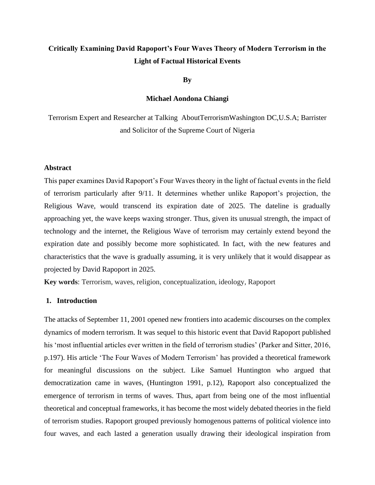# **Critically Examining David Rapoport's Four Waves Theory of Modern Terrorism in the Light of Factual Historical Events**

**By**

## **Michael Aondona Chiangi**

Terrorism Expert and Researcher at Talking AboutTerrorismWashington DC,U.S.A; Barrister and Solicitor of the Supreme Court of Nigeria

## **Abstract**

This paper examines David Rapoport's Four Waves theory in the light of factual events in the field of terrorism particularly after 9/11. It determines whether unlike Rapoport's projection, the Religious Wave, would transcend its expiration date of 2025. The dateline is gradually approaching yet, the wave keeps waxing stronger. Thus, given its unusual strength, the impact of technology and the internet, the Religious Wave of terrorism may certainly extend beyond the expiration date and possibly become more sophisticated. In fact, with the new features and characteristics that the wave is gradually assuming, it is very unlikely that it would disappear as projected by David Rapoport in 2025.

**Key words**: Terrorism, waves, religion, conceptualization, ideology, Rapoport

## **1. Introduction**

The attacks of September 11, 2001 opened new frontiers into academic discourses on the complex dynamics of modern terrorism. It was sequel to this historic event that David Rapoport published his 'most influential articles ever written in the field of terrorism studies' (Parker and Sitter, 2016, p.197). His article 'The Four Waves of Modern Terrorism' has provided a theoretical framework for meaningful discussions on the subject. Like Samuel Huntington who argued that democratization came in waves, (Huntington 1991, p.12), Rapoport also conceptualized the emergence of terrorism in terms of waves. Thus, apart from being one of the most influential theoretical and conceptual frameworks, it has become the most widely debated theories in the field of terrorism studies. Rapoport grouped previously homogenous patterns of political violence into four waves, and each lasted a generation usually drawing their ideological inspiration from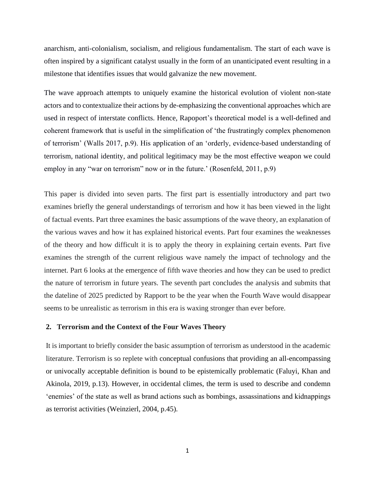anarchism, anti-colonialism, socialism, and religious fundamentalism. The start of each wave is often inspired by a significant catalyst usually in the form of an unanticipated event resulting in a milestone that identifies issues that would galvanize the new movement.

The wave approach attempts to uniquely examine the historical evolution of violent non-state actors and to contextualize their actions by de-emphasizing the conventional approaches which are used in respect of interstate conflicts. Hence, Rapoport's theoretical model is a well-defined and coherent framework that is useful in the simplification of 'the frustratingly complex phenomenon of terrorism' (Walls 2017, p.9). His application of an 'orderly, evidence-based understanding of terrorism, national identity, and political legitimacy may be the most effective weapon we could employ in any "war on terrorism" now or in the future.' (Rosenfeld, 2011, p.9)

This paper is divided into seven parts. The first part is essentially introductory and part two examines briefly the general understandings of terrorism and how it has been viewed in the light of factual events. Part three examines the basic assumptions of the wave theory, an explanation of the various waves and how it has explained historical events. Part four examines the weaknesses of the theory and how difficult it is to apply the theory in explaining certain events. Part five examines the strength of the current religious wave namely the impact of technology and the internet. Part 6 looks at the emergence of fifth wave theories and how they can be used to predict the nature of terrorism in future years. The seventh part concludes the analysis and submits that the dateline of 2025 predicted by Rapport to be the year when the Fourth Wave would disappear seems to be unrealistic as terrorism in this era is waxing stronger than ever before.

## **2. Terrorism and the Context of the Four Waves Theory**

It is important to briefly consider the basic assumption of terrorism as understood in the academic literature. Terrorism is so replete with conceptual confusions that providing an all-encompassing or univocally acceptable definition is bound to be epistemically problematic (Faluyi, Khan and Akinola, 2019, p.13). However, in occidental climes, the term is used to describe and condemn 'enemies' of the state as well as brand actions such as bombings, assassinations and kidnappings as terrorist activities (Weinzierl, 2004, p.45).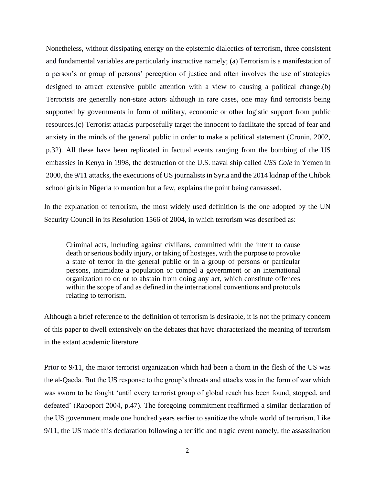Nonetheless, without dissipating energy on the epistemic dialectics of terrorism, three consistent and fundamental variables are particularly instructive namely; (a) Terrorism is a manifestation of a person's or group of persons' perception of justice and often involves the use of strategies designed to attract extensive public attention with a view to causing a political change.(b) Terrorists are generally non-state actors although in rare cases, one may find terrorists being supported by governments in form of military, economic or other logistic support from public resources.(c) Terrorist attacks purposefully target the innocent to facilitate the spread of fear and anxiety in the minds of the general public in order to make a political statement (Cronin, 2002, p.32). All these have been replicated in factual events ranging from the bombing of the US embassies in Kenya in 1998, the destruction of the U.S. naval ship called *USS Cole* in Yemen in 2000, the 9/11 attacks, the executions of US journalists in Syria and the 2014 kidnap of the Chibok school girls in Nigeria to mention but a few, explains the point being canvassed.

In the explanation of terrorism, the most widely used definition is the one adopted by the UN Security Council in its Resolution 1566 of 2004, in which terrorism was described as:

Criminal acts, including against civilians, committed with the intent to cause death or serious bodily injury, or taking of hostages, with the purpose to provoke a state of terror in the general public or in a group of persons or particular persons, intimidate a population or compel a government or an international organization to do or to abstain from doing any act, which constitute offences within the scope of and as defined in the international conventions and protocols relating to terrorism.

Although a brief reference to the definition of terrorism is desirable, it is not the primary concern of this paper to dwell extensively on the debates that have characterized the meaning of terrorism in the extant academic literature.

Prior to 9/11, the major terrorist organization which had been a thorn in the flesh of the US was the al-Qaeda. But the US response to the group's threats and attacks was in the form of war which was sworn to be fought 'until every terrorist group of global reach has been found, stopped, and defeated' (Rapoport 2004, p.47). The foregoing commitment reaffirmed a similar declaration of the US government made one hundred years earlier to sanitize the whole world of terrorism. Like 9/11, the US made this declaration following a terrific and tragic event namely, the assassination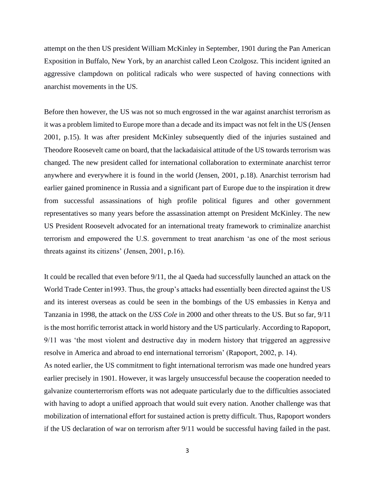attempt on the then US president William McKinley in September, 1901 during the Pan American Exposition in Buffalo, New York, by an anarchist called Leon Czolgosz. This incident ignited an aggressive clampdown on political radicals who were suspected of having connections with anarchist movements in the US.

Before then however, the US was not so much engrossed in the war against anarchist terrorism as it was a problem limited to Europe more than a decade and its impact was not felt in the US (Jensen 2001, p.15). It was after president McKinley subsequently died of the injuries sustained and Theodore Roosevelt came on board, that the lackadaisical attitude of the US towards terrorism was changed. The new president called for international collaboration to exterminate anarchist terror anywhere and everywhere it is found in the world (Jensen, 2001, p.18). Anarchist terrorism had earlier gained prominence in Russia and a significant part of Europe due to the inspiration it drew from successful assassinations of high profile political figures and other government representatives so many years before the assassination attempt on President McKinley. The new US President Roosevelt advocated for an international treaty framework to criminalize anarchist terrorism and empowered the U.S. government to treat anarchism 'as one of the most serious threats against its citizens' (Jensen, 2001, p.16).

It could be recalled that even before 9/11, the al Qaeda had successfully launched an attack on the World Trade Center in1993. Thus, the group's attacks had essentially been directed against the US and its interest overseas as could be seen in the bombings of the US embassies in Kenya and Tanzania in 1998, the attack on the *USS Cole* in 2000 and other threats to the US. But so far, 9/11 is the most horrific terrorist attack in world history and the US particularly. According to Rapoport, 9/11 was 'the most violent and destructive day in modern history that triggered an aggressive resolve in America and abroad to end international terrorism' (Rapoport, 2002, p. 14).

As noted earlier, the US commitment to fight international terrorism was made one hundred years earlier precisely in 1901. However, it was largely unsuccessful because the cooperation needed to galvanize counterterrorism efforts was not adequate particularly due to the difficulties associated with having to adopt a unified approach that would suit every nation. Another challenge was that mobilization of international effort for sustained action is pretty difficult. Thus, Rapoport wonders if the US declaration of war on terrorism after 9/11 would be successful having failed in the past.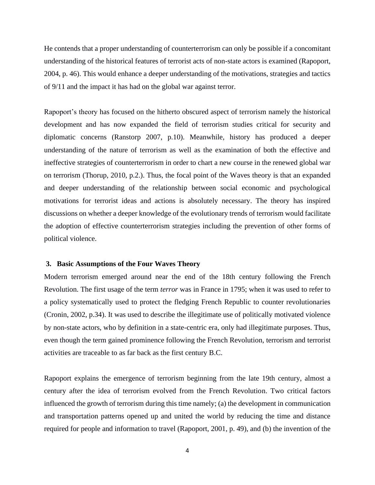He contends that a proper understanding of counterterrorism can only be possible if a concomitant understanding of the historical features of terrorist acts of non-state actors is examined (Rapoport, 2004, p. 46). This would enhance a deeper understanding of the motivations, strategies and tactics of 9/11 and the impact it has had on the global war against terror.

Rapoport's theory has focused on the hitherto obscured aspect of terrorism namely the historical development and has now expanded the field of terrorism studies critical for security and diplomatic concerns (Ranstorp 2007, p.10). Meanwhile, history has produced a deeper understanding of the nature of terrorism as well as the examination of both the effective and ineffective strategies of counterterrorism in order to chart a new course in the renewed global war on terrorism (Thorup, 2010, p.2.). Thus, the focal point of the Waves theory is that an expanded and deeper understanding of the relationship between social economic and psychological motivations for terrorist ideas and actions is absolutely necessary. The theory has inspired discussions on whether a deeper knowledge of the evolutionary trends of terrorism would facilitate the adoption of effective counterterrorism strategies including the prevention of other forms of political violence.

## **3. Basic Assumptions of the Four Waves Theory**

Modern terrorism emerged around near the end of the 18th century following the French Revolution. The first usage of the term *terror* was in France in 1795; when it was used to refer to a policy systematically used to protect the fledging French Republic to counter revolutionaries (Cronin, 2002, p.34). It was used to describe the illegitimate use of politically motivated violence by non-state actors, who by definition in a state-centric era, only had illegitimate purposes. Thus, even though the term gained prominence following the French Revolution, terrorism and terrorist activities are traceable to as far back as the first century B.C.

Rapoport explains the emergence of terrorism beginning from the late 19th century, almost a century after the idea of terrorism evolved from the French Revolution. Two critical factors influenced the growth of terrorism during this time namely; (a) the development in communication and transportation patterns opened up and united the world by reducing the time and distance required for people and information to travel (Rapoport, 2001, p. 49), and (b) the invention of the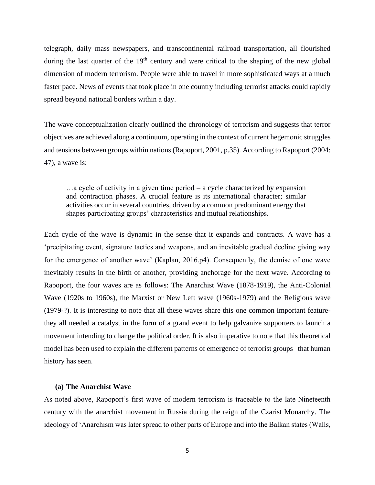telegraph, daily mass newspapers, and transcontinental railroad transportation, all flourished during the last quarter of the  $19<sup>th</sup>$  century and were critical to the shaping of the new global dimension of modern terrorism. People were able to travel in more sophisticated ways at a much faster pace. News of events that took place in one country including terrorist attacks could rapidly spread beyond national borders within a day.

The wave conceptualization clearly outlined the chronology of terrorism and suggests that terror objectives are achieved along a continuum, operating in the context of current hegemonic struggles and tensions between groups within nations (Rapoport, 2001, p.35). According to Rapoport (2004: 47), a wave is:

…a cycle of activity in a given time period – a cycle characterized by expansion and contraction phases. A crucial feature is its international character; similar activities occur in several countries, driven by a common predominant energy that shapes participating groups' characteristics and mutual relationships.

Each cycle of the wave is dynamic in the sense that it expands and contracts. A wave has a 'precipitating event, signature tactics and weapons, and an inevitable gradual decline giving way for the emergence of another wave' (Kaplan, 2016.p4). Consequently, the demise of one wave inevitably results in the birth of another, providing anchorage for the next wave. According to Rapoport, the four waves are as follows: The Anarchist Wave (1878-1919), the Anti-Colonial Wave (1920s to 1960s), the Marxist or New Left wave (1960s-1979) and the Religious wave (1979-?). It is interesting to note that all these waves share this one common important featurethey all needed a catalyst in the form of a grand event to help galvanize supporters to launch a movement intending to change the political order. It is also imperative to note that this theoretical model has been used to explain the different patterns of emergence of terrorist groups that human history has seen.

#### **(a) The Anarchist Wave**

As noted above, Rapoport's first wave of modern terrorism is traceable to the late Nineteenth century with the anarchist movement in Russia during the reign of the Czarist Monarchy. The ideology of 'Anarchism was later spread to other parts of Europe and into the Balkan states (Walls,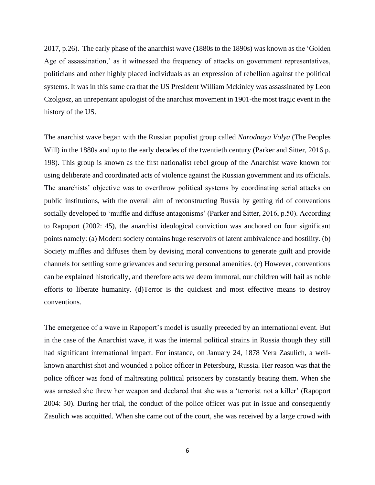2017, p.26). The early phase of the anarchist wave (1880s to the 1890s) was known as the 'Golden Age of assassination,' as it witnessed the frequency of attacks on government representatives, politicians and other highly placed individuals as an expression of rebellion against the political systems. It was in this same era that the US President William Mckinley was assassinated by Leon Czolgosz, an unrepentant apologist of the anarchist movement in 1901-the most tragic event in the history of the US.

The anarchist wave began with the Russian populist group called *Narodnaya Volya* (The Peoples Will) in the 1880s and up to the early decades of the twentieth century (Parker and Sitter, 2016 p. 198). This group is known as the first nationalist rebel group of the Anarchist wave known for using deliberate and coordinated acts of violence against the Russian government and its officials. The anarchists' objective was to overthrow political systems by coordinating serial attacks on public institutions, with the overall aim of reconstructing Russia by getting rid of conventions socially developed to 'muffle and diffuse antagonisms' (Parker and Sitter, 2016, p.50). According to Rapoport (2002: 45), the anarchist ideological conviction was anchored on four significant points namely: (a) Modern society contains huge reservoirs of latent ambivalence and hostility. (b) Society muffles and diffuses them by devising moral conventions to generate guilt and provide channels for settling some grievances and securing personal amenities. (c) However, conventions can be explained historically, and therefore acts we deem immoral, our children will hail as noble efforts to liberate humanity. (d)Terror is the quickest and most effective means to destroy conventions.

The emergence of a wave in Rapoport's model is usually preceded by an international event. But in the case of the Anarchist wave, it was the internal political strains in Russia though they still had significant international impact. For instance, on January 24, 1878 Vera Zasulich, a wellknown anarchist shot and wounded a police officer in Petersburg, Russia. Her reason was that the police officer was fond of maltreating political prisoners by constantly beating them. When she was arrested she threw her weapon and declared that she was a 'terrorist not a killer' (Rapoport 2004: 50). During her trial, the conduct of the police officer was put in issue and consequently Zasulich was acquitted. When she came out of the court, she was received by a large crowd with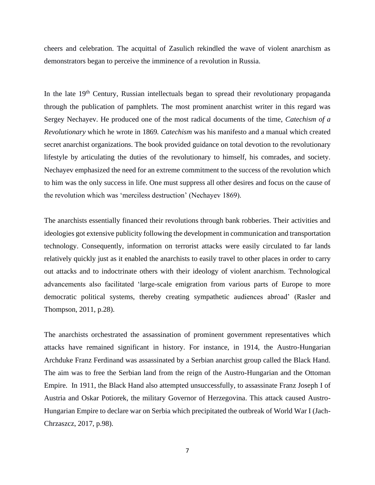cheers and celebration. The acquittal of Zasulich rekindled the wave of violent anarchism as demonstrators began to perceive the imminence of a revolution in Russia.

In the late 19<sup>th</sup> Century, Russian intellectuals began to spread their revolutionary propaganda through the publication of pamphlets. The most prominent anarchist writer in this regard was Sergey Nechayev. He produced one of the most radical documents of the time, *Catechism of a Revolutionary* which he wrote in 1869*. Catechism* was his manifesto and a manual which created secret anarchist organizations. The book provided guidance on total devotion to the revolutionary lifestyle by articulating the duties of the revolutionary to himself, his comrades, and society. Nechayev emphasized the need for an extreme commitment to the success of the revolution which to him was the only success in life. One must suppress all other desires and focus on the cause of the revolution which was 'merciless destruction' (Nechayev 1869).

The anarchists essentially financed their revolutions through bank robberies. Their activities and ideologies got extensive publicity following the development in communication and transportation technology. Consequently, information on terrorist attacks were easily circulated to far lands relatively quickly just as it enabled the anarchists to easily travel to other places in order to carry out attacks and to indoctrinate others with their ideology of violent anarchism. Technological advancements also facilitated 'large-scale emigration from various parts of Europe to more democratic political systems, thereby creating sympathetic audiences abroad' (Rasler and Thompson, 2011, p.28).

The anarchists orchestrated the assassination of prominent government representatives which attacks have remained significant in history. For instance, in 1914, the Austro-Hungarian Archduke Franz Ferdinand was assassinated by a Serbian anarchist group called the Black Hand. The aim was to free the Serbian land from the reign of the Austro-Hungarian and the Ottoman Empire. In 1911, the Black Hand also attempted unsuccessfully, to assassinate Franz Joseph I of Austria and Oskar Potiorek, the military Governor of Herzegovina. This attack caused Austro-Hungarian Empire to declare war on Serbia which precipitated the outbreak of World War I (Jach-Chrzaszcz, 2017, p.98).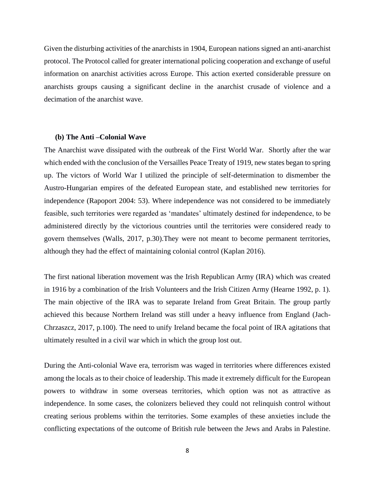Given the disturbing activities of the anarchists in 1904, European nations signed an anti-anarchist protocol. The Protocol called for greater international policing cooperation and exchange of useful information on anarchist activities across Europe. This action exerted considerable pressure on anarchists groups causing a significant decline in the anarchist crusade of violence and a decimation of the anarchist wave.

#### **(b) The Anti –Colonial Wave**

The Anarchist wave dissipated with the outbreak of the First World War. Shortly after the war which ended with the conclusion of the Versailles Peace Treaty of 1919, new states began to spring up. The victors of World War I utilized the principle of self-determination to dismember the Austro-Hungarian empires of the defeated European state, and established new territories for independence (Rapoport 2004: 53). Where independence was not considered to be immediately feasible, such territories were regarded as 'mandates' ultimately destined for independence, to be administered directly by the victorious countries until the territories were considered ready to govern themselves (Walls, 2017, p.30).They were not meant to become permanent territories, although they had the effect of maintaining colonial control (Kaplan 2016).

The first national liberation movement was the Irish Republican Army (IRA) which was created in 1916 by a combination of the Irish Volunteers and the Irish Citizen Army (Hearne 1992, p. 1). The main objective of the IRA was to separate Ireland from Great Britain. The group partly achieved this because Northern Ireland was still under a heavy influence from England (Jach-Chrzaszcz, 2017, p.100). The need to unify Ireland became the focal point of IRA agitations that ultimately resulted in a civil war which in which the group lost out.

During the Anti-colonial Wave era, terrorism was waged in territories where differences existed among the locals as to their choice of leadership. This made it extremely difficult for the European powers to withdraw in some overseas territories, which option was not as attractive as independence. In some cases, the colonizers believed they could not relinquish control without creating serious problems within the territories. Some examples of these anxieties include the conflicting expectations of the outcome of British rule between the Jews and Arabs in Palestine.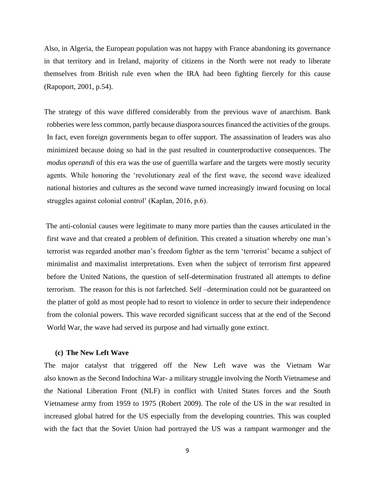Also, in Algeria, the European population was not happy with France abandoning its governance in that territory and in Ireland, majority of citizens in the North were not ready to liberate themselves from British rule even when the IRA had been fighting fiercely for this cause (Rapoport, 2001, p.54).

The strategy of this wave differed considerably from the previous wave of anarchism. Bank robberies were less common, partly because diaspora sources financed the activities of the groups. In fact, even foreign governments began to offer support. The assassination of leaders was also minimized because doing so had in the past resulted in counterproductive consequences. The *modus operandi* of this era was the use of guerrilla warfare and the targets were mostly security agents. While honoring the 'revolutionary zeal of the first wave, the second wave idealized national histories and cultures as the second wave turned increasingly inward focusing on local struggles against colonial control' (Kaplan, 2016, p.6).

The anti-colonial causes were legitimate to many more parties than the causes articulated in the first wave and that created a problem of definition. This created a situation whereby one man's terrorist was regarded another man's freedom fighter as the term 'terrorist' became a subject of minimalist and maximalist interpretations. Even when the subject of terrorism first appeared before the United Nations, the question of self-determination frustrated all attempts to define terrorism. The reason for this is not farfetched. Self –determination could not be guaranteed on the platter of gold as most people had to resort to violence in order to secure their independence from the colonial powers. This wave recorded significant success that at the end of the Second World War, the wave had served its purpose and had virtually gone extinct.

#### **(c) The New Left Wave**

The major catalyst that triggered off the New Left wave was the Vietnam War also known as the Second Indochina War- a military struggle involving the North Vietnamese and the National Liberation Front (NLF) in conflict with United States forces and the South Vietnamese army from 1959 to 1975 (Robert 2009). The role of the US in the war resulted in increased global hatred for the US especially from the developing countries. This was coupled with the fact that the Soviet Union had portrayed the US was a rampant warmonger and the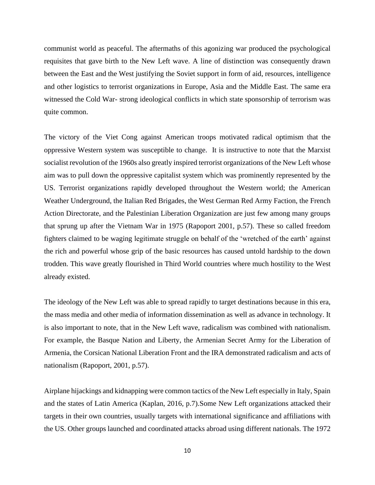communist world as peaceful. The aftermaths of this agonizing war produced the psychological requisites that gave birth to the New Left wave. A line of distinction was consequently drawn between the East and the West justifying the Soviet support in form of aid, resources, intelligence and other logistics to terrorist organizations in Europe, Asia and the Middle East. The same era witnessed the Cold War- strong ideological conflicts in which state sponsorship of terrorism was quite common.

The victory of the Viet Cong against American troops motivated radical optimism that the oppressive Western system was susceptible to change. It is instructive to note that the Marxist socialist revolution of the 1960s also greatly inspired terrorist organizations of the New Left whose aim was to pull down the oppressive capitalist system which was prominently represented by the US. Terrorist organizations rapidly developed throughout the Western world; the American Weather Underground, the Italian Red Brigades, the West German Red Army Faction, the French Action Directorate, and the Palestinian Liberation Organization are just few among many groups that sprung up after the Vietnam War in 1975 (Rapoport 2001, p.57). These so called freedom fighters claimed to be waging legitimate struggle on behalf of the 'wretched of the earth' against the rich and powerful whose grip of the basic resources has caused untold hardship to the down trodden. This wave greatly flourished in Third World countries where much hostility to the West already existed.

The ideology of the New Left was able to spread rapidly to target destinations because in this era, the mass media and other media of information dissemination as well as advance in technology. It is also important to note, that in the New Left wave, radicalism was combined with nationalism. For example, the Basque Nation and Liberty, the Armenian Secret Army for the Liberation of Armenia, the Corsican National Liberation Front and the IRA demonstrated radicalism and acts of nationalism (Rapoport, 2001, p.57).

Airplane hijackings and kidnapping were common tactics of the New Left especially in Italy, Spain and the states of Latin America (Kaplan, 2016, p.7).Some New Left organizations attacked their targets in their own countries, usually targets with international significance and affiliations with the US. Other groups launched and coordinated attacks abroad using different nationals. The 1972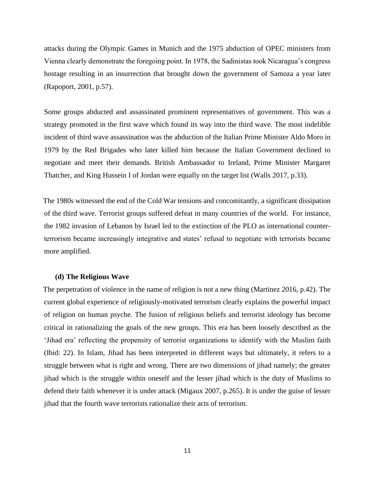attacks during the Olympic Games in Munich and the 1975 abduction of OPEC ministers from Vienna clearly demonstrate the foregoing point. In 1978, the Sadinistas took Nicaragua's congress hostage resulting in an insurrection that brought down the government of Samoza a year later (Rapoport, 2001, p.57).

Some groups abducted and assassinated prominent representatives of government. This was a strategy promoted in the first wave which found its way into the third wave. The most indelible incident of third wave assassination was the abduction of the Italian Prime Minister Aldo Moro in 1979 by the Red Brigades who later killed him because the Italian Government declined to negotiate and meet their demands. British Ambassador to Ireland, Prime Minister Margaret Thatcher, and King Hussein I of Jordan were equally on the target list (Walls 2017, p.33).

The 1980s witnessed the end of the Cold War tensions and concomitantly, a significant dissipation of the third wave. Terrorist groups suffered defeat in many countries of the world. For instance, the 1982 invasion of Lebanon by Israel led to the extinction of the PLO as international counterterrorism became increasingly integrative and states' refusal to negotiate with terrorists became more amplified.

## **(d) The Religious Wave**

The perpetration of violence in the name of religion is not a new thing (Martinez 2016, p.42). The current global experience of religiously-motivated terrorism clearly explains the powerful impact of religion on human psyche. The fusion of religious beliefs and terrorist ideology has become critical in rationalizing the goals of the new groups. This era has been loosely described as the 'Jihad era' reflecting the propensity of terrorist organizations to identify with the Muslim faith (Ibid: 22). In Islam, Jihad has been interpreted in different ways but ultimately, it refers to a struggle between what is right and wrong. There are two dimensions of jihad namely; the greater jihad which is the struggle within oneself and the lesser jihad which is the duty of Muslims to defend their faith whenever it is under attack (Migaux 2007, p.265). It is under the guise of lesser jihad that the fourth wave terrorists rationalize their acts of terrorism.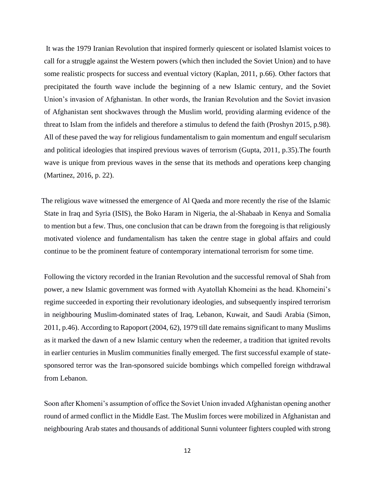It was the 1979 Iranian Revolution that inspired formerly quiescent or isolated Islamist voices to call for a struggle against the Western powers (which then included the Soviet Union) and to have some realistic prospects for success and eventual victory (Kaplan, 2011, p.66). Other factors that precipitated the fourth wave include the beginning of a new Islamic century, and the Soviet Union's invasion of Afghanistan. In other words, the Iranian Revolution and the Soviet invasion of Afghanistan sent shockwaves through the Muslim world, providing alarming evidence of the threat to Islam from the infidels and therefore a stimulus to defend the faith (Proshyn 2015, p.98). All of these paved the way for religious fundamentalism to gain momentum and engulf secularism and political ideologies that inspired previous waves of terrorism (Gupta, 2011, p.35).The fourth wave is unique from previous waves in the sense that its methods and operations keep changing (Martinez, 2016, p. 22).

The religious wave witnessed the emergence of Al Qaeda and more recently the rise of the Islamic State in Iraq and Syria (ISIS), the Boko Haram in Nigeria, the al-Shabaab in Kenya and Somalia to mention but a few. Thus, one conclusion that can be drawn from the foregoing is that religiously motivated violence and fundamentalism has taken the centre stage in global affairs and could continue to be the prominent feature of contemporary international terrorism for some time.

Following the victory recorded in the Iranian Revolution and the successful removal of Shah from power, a new Islamic government was formed with Ayatollah Khomeini as the head. Khomeini's regime succeeded in exporting their revolutionary ideologies, and subsequently inspired terrorism in neighbouring Muslim-dominated states of Iraq, Lebanon, Kuwait, and Saudi Arabia (Simon, 2011, p.46). According to Rapoport (2004, 62), 1979 till date remains significant to many Muslims as it marked the dawn of a new Islamic century when the redeemer, a tradition that ignited revolts in earlier centuries in Muslim communities finally emerged. The first successful example of statesponsored terror was the Iran-sponsored suicide bombings which compelled foreign withdrawal from Lebanon.

Soon after Khomeni's assumption of office the Soviet Union invaded Afghanistan opening another round of armed conflict in the Middle East. The Muslim forces were mobilized in Afghanistan and neighbouring Arab states and thousands of additional Sunni volunteer fighters coupled with strong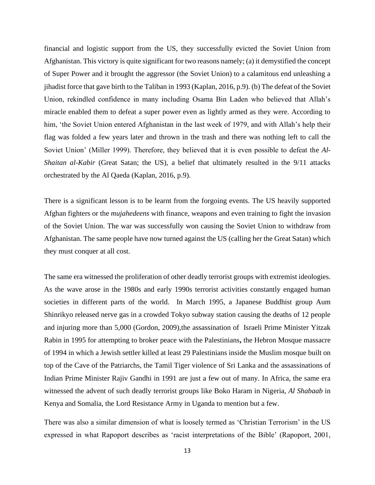financial and logistic support from the US, they successfully evicted the Soviet Union from Afghanistan. This victory is quite significant for two reasons namely; (a) it demystified the concept of Super Power and it brought the aggressor (the Soviet Union) to a calamitous end unleashing a jihadist force that gave birth to the Taliban in 1993 (Kaplan, 2016, p.9). (b) The defeat of the Soviet Union, rekindled confidence in many including Osama Bin Laden who believed that Allah's miracle enabled them to defeat a super power even as lightly armed as they were. According to him, 'the Soviet Union entered Afghanistan in the last week of 1979, and with Allah's help their flag was folded a few years later and thrown in the trash and there was nothing left to call the Soviet Union' (Miller 1999). Therefore, they believed that it is even possible to defeat the *Al-Shaitan al-Kabir* (Great Satan; the US), a belief that ultimately resulted in the 9/11 attacks orchestrated by the Al Qaeda (Kaplan, 2016, p.9).

There is a significant lesson is to be learnt from the forgoing events. The US heavily supported Afghan fighters or the *mujahedeens* with finance, weapons and even training to fight the invasion of the Soviet Union. The war was successfully won causing the Soviet Union to withdraw from Afghanistan. The same people have now turned against the US (calling her the Great Satan) which they must conquer at all cost.

The same era witnessed the proliferation of other deadly terrorist groups with extremist ideologies. As the wave arose in the 1980s and early 1990s terrorist activities constantly engaged human societies in different parts of the world. In March 1995, a Japanese Buddhist group Aum Shinrikyo released nerve gas in a crowded Tokyo subway station causing the deaths of 12 people and injuring more than 5,000 (Gordon, 2009),the assassination of Israeli Prime Minister Yitzak Rabin in 1995 for attempting to broker peace with the Palestinians**,** the Hebron Mosque massacre of 1994 in which a Jewish settler killed at least 29 Palestinians inside the Muslim mosque built on top of the Cave of the Patriarchs, the Tamil Tiger violence of Sri Lanka and the assassinations of Indian Prime Minister Rajiv Gandhi in 1991 are just a few out of many. In Africa, the same era witnessed the advent of such deadly terrorist groups like Boko Haram in Nigeria, *Al Shabaab* in Kenya and Somalia, the Lord Resistance Army in Uganda to mention but a few.

There was also a similar dimension of what is loosely termed as 'Christian Terrorism' in the US expressed in what Rapoport describes as 'racist interpretations of the Bible' (Rapoport, 2001,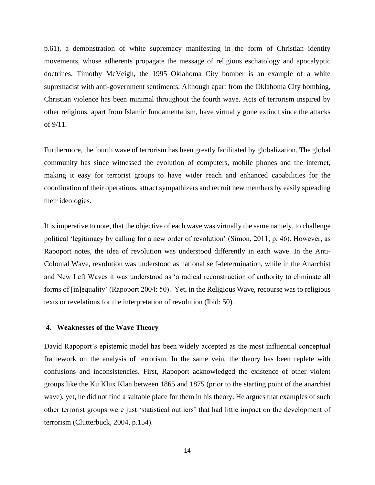p.61), a demonstration of white supremacy manifesting in the form of Christian identity movements, whose adherents propagate the message of religious eschatology and apocalyptic doctrines. Timothy McVeigh, the 1995 Oklahoma City bomber is an example of a white supremacist with anti-government sentiments. Although apart from the Oklahoma City bombing, Christian violence has been minimal throughout the fourth wave. Acts of terrorism inspired by other religions, apart from Islamic fundamentalism, have virtually gone extinct since the attacks of 9/11.

Furthermore, the fourth wave of terrorism has been greatly facilitated by globalization. The global community has since witnessed the evolution of computers, mobile phones and the internet, making it easy for terrorist groups to have wider reach and enhanced capabilities for the coordination of their operations, attract sympathizers and recruit new members by easily spreading their ideologies.

It is imperative to note, that the objective of each wave was virtually the same namely, to challenge political 'legitimacy by calling for a new order of revolution' (Simon, 2011, p. 46). However, as Rapoport notes, the idea of revolution was understood differently in each wave. In the Anti-Colonial Wave, revolution was understood as national self-determination, while in the Anarchist and New Left Waves it was understood as 'a radical reconstruction of authority to eliminate all forms of [in]equality' (Rapoport 2004: 50). Yet, in the Religious Wave, recourse was to religious texts or revelations for the interpretation of revolution (Ibid: 50).

## **4. Weaknesses of the Wave Theory**

David Rapoport's epistemic model has been widely accepted as the most influential conceptual framework on the analysis of terrorism. In the same vein, the theory has been replete with confusions and inconsistencies. First, Rapoport acknowledged the existence of other violent groups like the Ku Klux Klan between 1865 and 1875 (prior to the starting point of the anarchist wave), yet, he did not find a suitable place for them in his theory. He argues that examples of such other terrorist groups were just 'statistical outliers' that had little impact on the development of terrorism (Clutterbuck, 2004, p.154).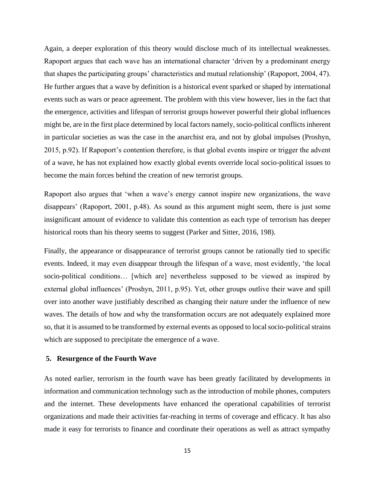Again, a deeper exploration of this theory would disclose much of its intellectual weaknesses. Rapoport argues that each wave has an international character 'driven by a predominant energy that shapes the participating groups' characteristics and mutual relationship' (Rapoport, 2004, 47). He further argues that a wave by definition is a historical event sparked or shaped by international events such as wars or peace agreement. The problem with this view however, lies in the fact that the emergence, activities and lifespan of terrorist groups however powerful their global influences might be, are in the first place determined by local factors namely, socio-political conflicts inherent in particular societies as was the case in the anarchist era, and not by global impulses (Proshyn, 2015, p.92). If Rapoport's contention therefore, is that global events inspire or trigger the advent of a wave, he has not explained how exactly global events override local socio-political issues to become the main forces behind the creation of new terrorist groups.

Rapoport also argues that 'when a wave's energy cannot inspire new organizations, the wave disappears' (Rapoport, 2001, p.48). As sound as this argument might seem, there is just some insignificant amount of evidence to validate this contention as each type of terrorism has deeper historical roots than his theory seems to suggest (Parker and Sitter, 2016, 198).

Finally, the appearance or disappearance of terrorist groups cannot be rationally tied to specific events. Indeed, it may even disappear through the lifespan of a wave, most evidently, 'the local socio-political conditions… [which are] nevertheless supposed to be viewed as inspired by external global influences' (Proshyn, 2011, p.95). Yet, other groups outlive their wave and spill over into another wave justifiably described as changing their nature under the influence of new waves. The details of how and why the transformation occurs are not adequately explained more so, that it is assumed to be transformed by external events as opposed to local socio-political strains which are supposed to precipitate the emergence of a wave.

#### **5. Resurgence of the Fourth Wave**

As noted earlier, terrorism in the fourth wave has been greatly facilitated by developments in information and communication technology such as the introduction of mobile phones, computers and the internet. These developments have enhanced the operational capabilities of terrorist organizations and made their activities far-reaching in terms of coverage and efficacy. It has also made it easy for terrorists to finance and coordinate their operations as well as attract sympathy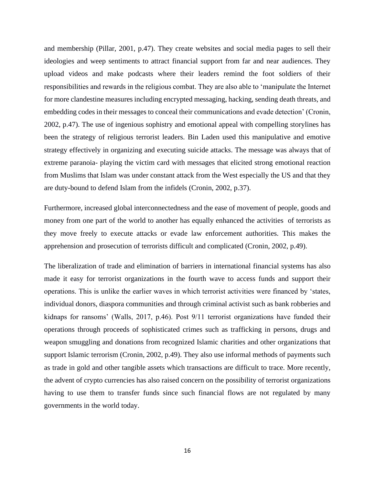and membership (Pillar, 2001, p.47). They create websites and social media pages to sell their ideologies and weep sentiments to attract financial support from far and near audiences. They upload videos and make podcasts where their leaders remind the foot soldiers of their responsibilities and rewards in the religious combat. They are also able to 'manipulate the Internet for more clandestine measures including encrypted messaging, hacking, sending death threats, and embedding codes in their messages to conceal their communications and evade detection' (Cronin, 2002, p.47). The use of ingenious sophistry and emotional appeal with compelling storylines has been the strategy of religious terrorist leaders. Bin Laden used this manipulative and emotive strategy effectively in organizing and executing suicide attacks. The message was always that of extreme paranoia- playing the victim card with messages that elicited strong emotional reaction from Muslims that Islam was under constant attack from the West especially the US and that they are duty-bound to defend Islam from the infidels (Cronin, 2002, p.37).

Furthermore, increased global interconnectedness and the ease of movement of people, goods and money from one part of the world to another has equally enhanced the activities of terrorists as they move freely to execute attacks or evade law enforcement authorities. This makes the apprehension and prosecution of terrorists difficult and complicated (Cronin, 2002, p.49).

The liberalization of trade and elimination of barriers in international financial systems has also made it easy for terrorist organizations in the fourth wave to access funds and support their operations. This is unlike the earlier waves in which terrorist activities were financed by 'states, individual donors, diaspora communities and through criminal activist such as bank robberies and kidnaps for ransoms' (Walls, 2017, p.46). Post 9/11 terrorist organizations have funded their operations through proceeds of sophisticated crimes such as trafficking in persons, drugs and weapon smuggling and donations from recognized Islamic charities and other organizations that support Islamic terrorism (Cronin, 2002, p.49). They also use informal methods of payments such as trade in gold and other tangible assets which transactions are difficult to trace. More recently, the advent of crypto currencies has also raised concern on the possibility of terrorist organizations having to use them to transfer funds since such financial flows are not regulated by many governments in the world today.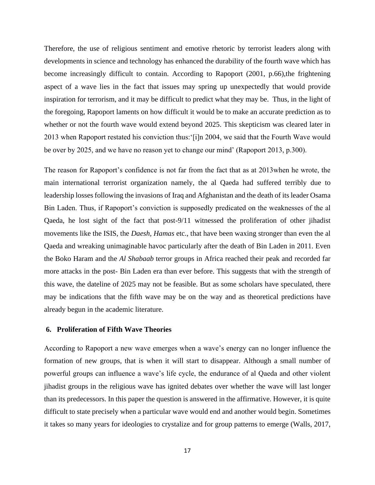Therefore, the use of religious sentiment and emotive rhetoric by terrorist leaders along with developments in science and technology has enhanced the durability of the fourth wave which has become increasingly difficult to contain. According to Rapoport (2001, p.66), the frightening aspect of a wave lies in the fact that issues may spring up unexpectedly that would provide inspiration for terrorism, and it may be difficult to predict what they may be. Thus, in the light of the foregoing, Rapoport laments on how difficult it would be to make an accurate prediction as to whether or not the fourth wave would extend beyond 2025. This skepticism was cleared later in 2013 when Rapoport restated his conviction thus:'[i]n 2004, we said that the Fourth Wave would be over by 2025, and we have no reason yet to change our mind' (Rapoport 2013, p.300).

The reason for Rapoport's confidence is not far from the fact that as at 2013when he wrote, the main international terrorist organization namely, the al Qaeda had suffered terribly due to leadership losses following the invasions of Iraq and Afghanistan and the death of its leader Osama Bin Laden. Thus, if Rapoport's conviction is supposedly predicated on the weaknesses of the al Qaeda, he lost sight of the fact that post-9/11 witnessed the proliferation of other jihadist movements like the ISIS, the *Daesh, Hamas* etc., that have been waxing stronger than even the al Qaeda and wreaking unimaginable havoc particularly after the death of Bin Laden in 2011. Even the Boko Haram and the *Al Shabaab* terror groups in Africa reached their peak and recorded far more attacks in the post- Bin Laden era than ever before. This suggests that with the strength of this wave, the dateline of 2025 may not be feasible. But as some scholars have speculated, there may be indications that the fifth wave may be on the way and as theoretical predictions have already begun in the academic literature.

## **6. Proliferation of Fifth Wave Theories**

According to Rapoport a new wave emerges when a wave's energy can no longer influence the formation of new groups, that is when it will start to disappear. Although a small number of powerful groups can influence a wave's life cycle, the endurance of al Qaeda and other violent jihadist groups in the religious wave has ignited debates over whether the wave will last longer than its predecessors. In this paper the question is answered in the affirmative. However, it is quite difficult to state precisely when a particular wave would end and another would begin. Sometimes it takes so many years for ideologies to crystalize and for group patterns to emerge (Walls, 2017,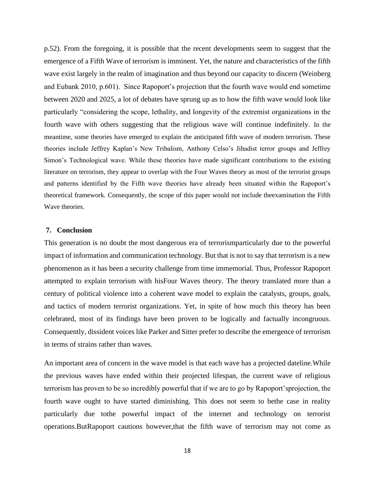p.52). From the foregoing, it is possible that the recent developments seem to suggest that the emergence of a Fifth Wave of terrorism is imminent. Yet, the nature and characteristics of the fifth wave exist largely in the realm of imagination and thus beyond our capacity to discern (Weinberg and Eubank 2010, p.601). Since Rapoport's projection that the fourth wave would end sometime between 2020 and 2025, a lot of debates have sprung up as to how the fifth wave would look like particularly "considering the scope, lethality, and longevity of the extremist organizations in the fourth wave with others suggesting that the religious wave will continue indefinitely. In the meantime, some theories have emerged to explain the anticipated fifth wave of modern terrorism. These theories include Jeffrey Kaplan's New Tribalism, Anthony Celso's Jihadist terror groups and Jeffrey Simon's Technological wave. While these theories have made significant contributions to the existing literature on terrorism, they appear to overlap with the Four Waves theory as most of the terrorist groups and patterns identified by the Fifth wave theories have already been situated within the Rapoport's theoretical framework. Consequently, the scope of this paper would not include theexamination the Fifth Wave theories.

## **7. Conclusion**

This generation is no doubt the most dangerous era of terrorismparticularly due to the powerful impact of information and communication technology. But that is not to say that terrorism is a new phenomenon as it has been a security challenge from time immemorial. Thus, Professor Rapoport attempted to explain terrorism with hisFour Waves theory. The theory translated more than a century of political violence into a coherent wave model to explain the catalysts, groups, goals, and tactics of modern terrorist organizations. Yet, in spite of how much this theory has been celebrated, most of its findings have been proven to be logically and factually incongruous. Consequently, dissident voices like Parker and Sitter prefer to describe the emergence of terrorism in terms of strains rather than waves.

An important area of concern in the wave model is that each wave has a projected dateline.While the previous waves have ended within their projected lifespan, the current wave of religious terrorism has proven to be so incredibly powerful that if we are to go by Rapoport'sprojection, the fourth wave ought to have started diminishing. This does not seem to bethe case in reality particularly due tothe powerful impact of the internet and technology on terrorist operations.ButRapoport cautions however,that the fifth wave of terrorism may not come as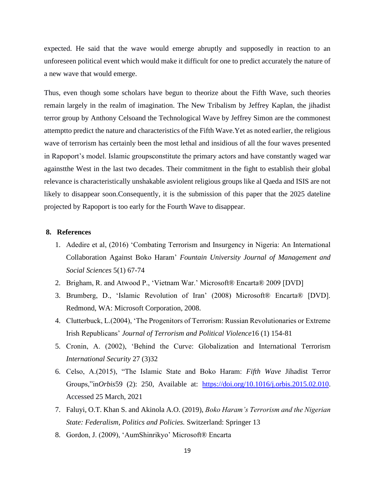expected. He said that the wave would emerge abruptly and supposedly in reaction to an unforeseen political event which would make it difficult for one to predict accurately the nature of a new wave that would emerge.

Thus, even though some scholars have begun to theorize about the Fifth Wave, such theories remain largely in the realm of imagination. The New Tribalism by Jeffrey Kaplan, the jihadist terror group by Anthony Celsoand the Technological Wave by Jeffrey Simon are the commonest attemptto predict the nature and characteristics of the Fifth Wave.Yet as noted earlier, the religious wave of terrorism has certainly been the most lethal and insidious of all the four waves presented in Rapoport's model. Islamic groupsconstitute the primary actors and have constantly waged war againstthe West in the last two decades. Their commitment in the fight to establish their global relevance is characteristically unshakable asviolent religious groups like al Qaeda and ISIS are not likely to disappear soon.Consequently, it is the submission of this paper that the 2025 dateline projected by Rapoport is too early for the Fourth Wave to disappear.

## **8. References**

- 1. Adedire et al, (2016) 'Combating Terrorism and Insurgency in Nigeria: An International Collaboration Against Boko Haram' *Fountain University Journal of Management and Social Sciences* 5(1) 67-74
- 2. Brigham, R. and Atwood P., 'Vietnam War.' Microsoft® Encarta® 2009 [DVD]
- 3. Brumberg, D., 'Islamic Revolution of Iran' (2008) Microsoft® Encarta® [DVD]. Redmond, WA: Microsoft Corporation, 2008.
- 4. Clutterbuck, L.(2004), 'The Progenitors of Terrorism: Russian Revolutionaries or Extreme Irish Republicans' *Journal of Terrorism and Political Violence*16 (1) 154-81
- 5. Cronin, A. (2002), 'Behind the Curve: Globalization and International Terrorism *International Security* 27 (3)32
- 6. Celso, A.(2015), "The Islamic State and Boko Haram: *Fifth Wave* Jihadist Terror Groups,"in*Orbis*59 (2): 250, Available at: [https://doi.org/10.1016/j.orbis.2015.02.010.](https://doi.org/10.1016/j.orbis.2015.02.010) Accessed 25 March, 2021
- 7. Faluyi, O.T. Khan S. and Akinola A.O. (2019), *Boko Haram's Terrorism and the Nigerian State: Federalism, Politics and Policies.* Switzerland: Springer 13
- 8. Gordon, J. (2009), 'AumShinrikyo' Microsoft® Encarta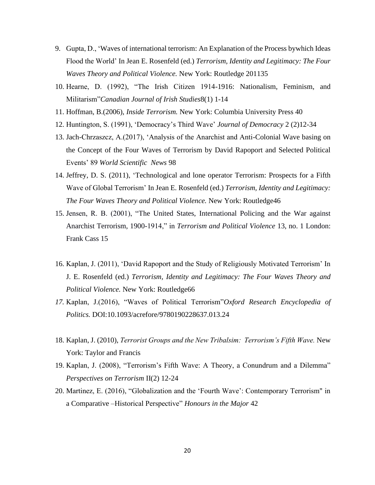- 9. Gupta, D., 'Waves of international terrorism: An Explanation of the Process bywhich Ideas Flood the World' In Jean E. Rosenfeld (ed.) *Terrorism, Identity and Legitimacy: The Four Waves Theory and Political Violence.* New York: Routledge 201135
- 10. Hearne, D. (1992), "The Irish Citizen 1914-1916: Nationalism, Feminism, and Militarism"*Canadian Journal of Irish Studies*8(1) 1-14
- 11. Hoffman, B.(2006), *Inside Terrorism.* New York: Columbia University Press 40
- 12. Huntington, S. (1991), 'Democracy's Third Wave' *Journal of Democracy* 2 (2)12-34
- 13. Jach-Chrzaszcz, A.(2017), 'Analysis of the Anarchist and Anti-Colonial Wave basing on the Concept of the Four Waves of Terrorism by David Rapoport and Selected Political Events' 89 *World Scientific News* 98
- 14. Jeffrey, D. S. (2011), 'Technological and lone operator Terrorism: Prospects for a Fifth Wave of Global Terrorism' In Jean E. Rosenfeld (ed.) *Terrorism, Identity and Legitimacy: The Four Waves Theory and Political Violence.* New York: Routledge46
- 15. Jensen, R. B. (2001), "The United States, International Policing and the War against Anarchist Terrorism, 1900-1914," in *Terrorism and Political Violence* 13, no. 1 London: Frank Cass 15
- 16. Kaplan, J. (2011), 'David Rapoport and the Study of Religiously Motivated Terrorism' In J. E. Rosenfeld (ed.) *Terrorism, Identity and Legitimacy: The Four Waves Theory and Political Violence.* New York: Routledge66
- *17.* Kaplan, J.(2016), "Waves of Political Terrorism"*Oxford Research Encyclopedia of Politics.* DOI:10.1093/acrefore/9780190228637.013.24
- 18. Kaplan, J. (2010), *Terrorist Groups and the New Tribalsim: Terrorism's Fifth Wave.* New York: Taylor and Francis
- 19. Kaplan, J. (2008), "Terrorism's Fifth Wave: A Theory, a Conundrum and a Dilemma" *Perspectives on Terrorism* II(2) 12-24
- 20. Martinez, E. (2016), "Globalization and the 'Fourth Wave': Contemporary Terrorism" in a Comparative –Historical Perspective" *Honours in the Major* 42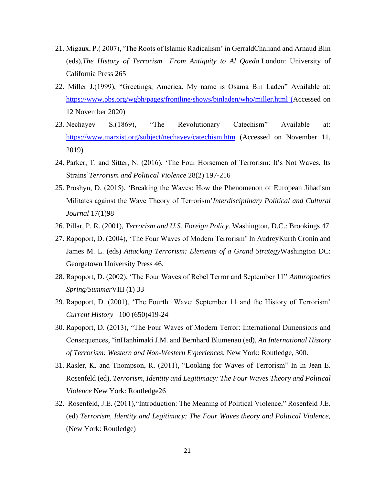- 21. Migaux, P.( 2007), 'The Roots of Islamic Radicalism' in GerraldChaliand and Arnaud Blin (eds),*The History of Terrorism From Antiquity to Al Qaeda.*London: University of California Press 265
- 22. Miller J.(1999), "Greetings, America. My name is Osama Bin Laden" Available at: <https://www.pbs.org/wgbh/pages/frontline/shows/binladen/who/miller.html> (Accessed on 12 November 2020)
- 23. Nechayev S.(1869), "The Revolutionary Catechism" Available at: <https://www.marxist.org/subject/nechayev/catechism.htm> (Accessed on November 11, 2019)
- 24. Parker, T. and Sitter, N. (2016), 'The Four Horsemen of Terrorism: It's Not Waves, Its Strains'*Terrorism and Political Violence* 28(2) 197-216
- 25. Proshyn, D. (2015), 'Breaking the Waves: How the Phenomenon of European Jihadism Militates against the Wave Theory of Terrorism'*Interdisciplinary Political and Cultural Journal* 17(1)98
- 26. Pillar, P. R. (2001), *Terrorism and U.S. Foreign Policy.* Washington, D.C.: Brookings 47
- 27. Rapoport, D. (2004), 'The Four Waves of Modern Terrorism' In AudreyKurth Cronin and James M. L. (eds) *Attacking Terrorism: Elements of a Grand Strategy*Washington DC: Georgetown University Press 46.
- 28. Rapoport, D. (2002), 'The Four Waves of Rebel Terror and September 11" *Anthropoetics Spring/Summer*VIII (1) 33
- 29. Rapoport, D. (2001), 'The Fourth Wave: September 11 and the History of Terrorism' *Current History* 100 (650)419-24
- 30. Rapoport, D. (2013), "The Four Waves of Modern Terror: International Dimensions and Consequences, "inHanhimaki J.M. and Bernhard Blumenau (ed), *An International History of Terrorism: Western and Non-Western Experiences.* New York: Routledge, 300.
- 31. Rasler, K. and Thompson, R. (2011), "Looking for Waves of Terrorism" In In Jean E. Rosenfeld (ed), *Terrorism, Identity and Legitimacy: The Four Waves Theory and Political Violence* New York: Routledge26
- 32. Rosenfeld, J.E. (2011),"Introduction: The Meaning of Political Violence," Rosenfeld J.E. (ed) *Terrorism, Identity and Legitimacy: The Four Waves theory and Political Violence,* (New York: Routledge)